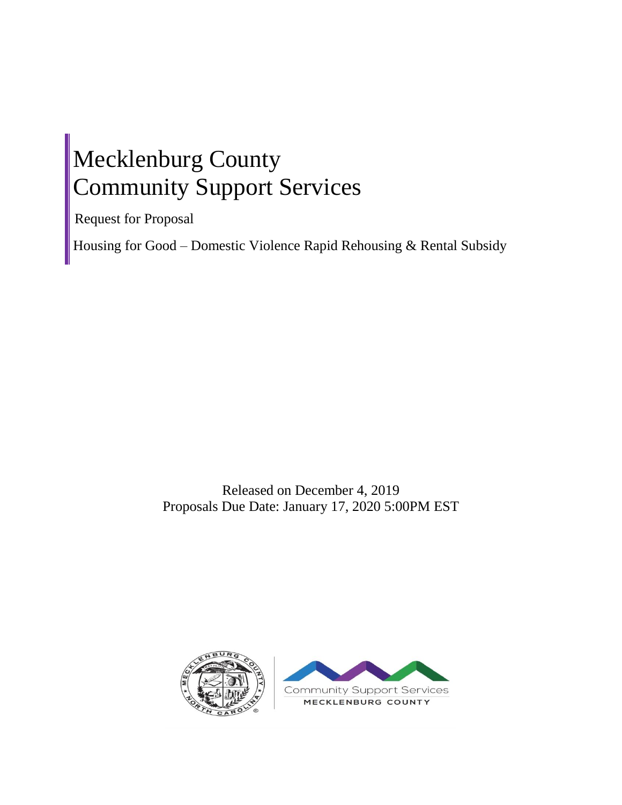# Mecklenburg County Community Support Services

Request for Proposal

Housing for Good – Domestic Violence Rapid Rehousing & Rental Subsidy

Released on December 4, 2019 Proposals Due Date: January 17, 2020 5:00PM EST

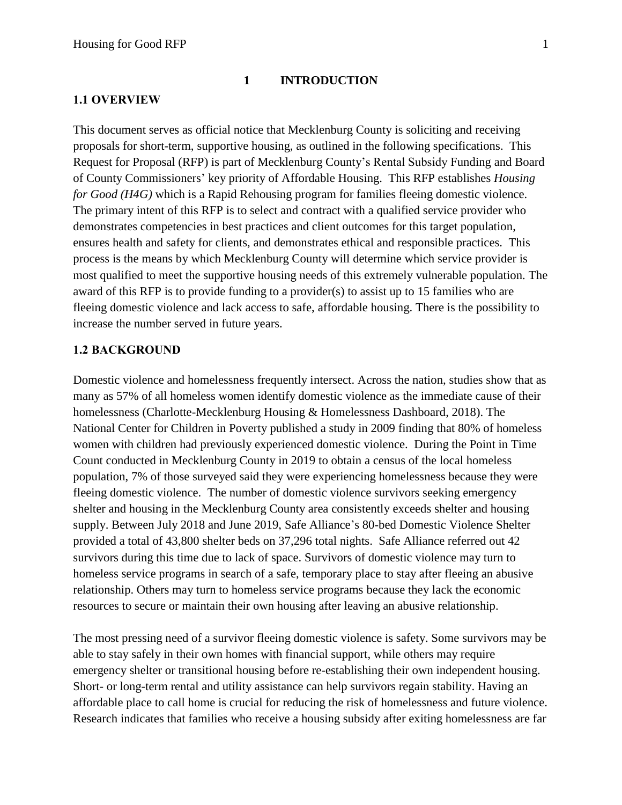#### **1 INTRODUCTION**

#### **1.1 OVERVIEW**

This document serves as official notice that Mecklenburg County is soliciting and receiving proposals for short-term, supportive housing, as outlined in the following specifications. This Request for Proposal (RFP) is part of Mecklenburg County's Rental Subsidy Funding and Board of County Commissioners' key priority of Affordable Housing. This RFP establishes *Housing for Good (H4G)* which is a Rapid Rehousing program for families fleeing domestic violence. The primary intent of this RFP is to select and contract with a qualified service provider who demonstrates competencies in best practices and client outcomes for this target population, ensures health and safety for clients, and demonstrates ethical and responsible practices. This process is the means by which Mecklenburg County will determine which service provider is most qualified to meet the supportive housing needs of this extremely vulnerable population. The award of this RFP is to provide funding to a provider(s) to assist up to 15 families who are fleeing domestic violence and lack access to safe, affordable housing. There is the possibility to increase the number served in future years.

#### **1.2 BACKGROUND**

Domestic violence and homelessness frequently intersect. Across the nation, studies show that as many as 57% of all homeless women identify domestic violence as the immediate cause of their homelessness (Charlotte-Mecklenburg Housing & Homelessness Dashboard, 2018). The National Center for Children in Poverty published a study in 2009 finding that 80% of homeless women with children had previously experienced domestic violence. During the Point in Time Count conducted in Mecklenburg County in 2019 to obtain a census of the local homeless population, 7% of those surveyed said they were experiencing homelessness because they were fleeing domestic violence. The number of domestic violence survivors seeking emergency shelter and housing in the Mecklenburg County area consistently exceeds shelter and housing supply. Between July 2018 and June 2019, Safe Alliance's 80-bed Domestic Violence Shelter provided a total of 43,800 shelter beds on 37,296 total nights. Safe Alliance referred out 42 survivors during this time due to lack of space. Survivors of domestic violence may turn to homeless service programs in search of a safe, temporary place to stay after fleeing an abusive relationship. Others may turn to homeless service programs because they lack the economic resources to secure or maintain their own housing after leaving an abusive relationship.

The most pressing need of a survivor fleeing domestic violence is safety. Some survivors may be able to stay safely in their own homes with financial support, while others may require emergency shelter or transitional housing before re-establishing their own independent housing. Short- or long-term rental and utility assistance can help survivors regain stability. Having an affordable place to call home is crucial for reducing the risk of homelessness and future violence. Research indicates that families who receive a housing subsidy after exiting homelessness are far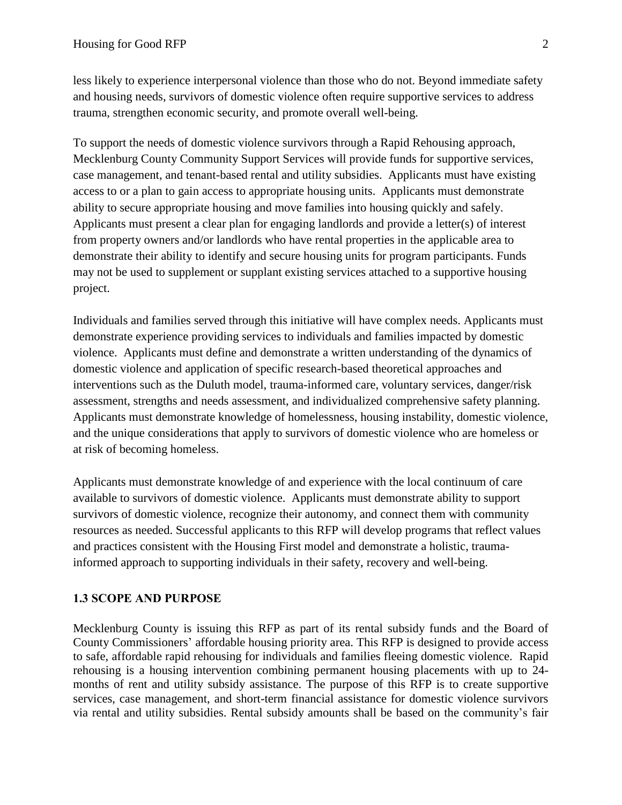less likely to experience interpersonal violence than those who do not. Beyond immediate safety and housing needs, survivors of domestic violence often require supportive services to address trauma, strengthen economic security, and promote overall well-being.

To support the needs of domestic violence survivors through a Rapid Rehousing approach, Mecklenburg County Community Support Services will provide funds for supportive services, case management, and tenant-based rental and utility subsidies. Applicants must have existing access to or a plan to gain access to appropriate housing units. Applicants must demonstrate ability to secure appropriate housing and move families into housing quickly and safely. Applicants must present a clear plan for engaging landlords and provide a letter(s) of interest from property owners and/or landlords who have rental properties in the applicable area to demonstrate their ability to identify and secure housing units for program participants. Funds may not be used to supplement or supplant existing services attached to a supportive housing project.

Individuals and families served through this initiative will have complex needs. Applicants must demonstrate experience providing services to individuals and families impacted by domestic violence. Applicants must define and demonstrate a written understanding of the dynamics of domestic violence and application of specific research-based theoretical approaches and interventions such as the Duluth model, trauma-informed care, voluntary services, danger/risk assessment, strengths and needs assessment, and individualized comprehensive safety planning. Applicants must demonstrate knowledge of homelessness, housing instability, domestic violence, and the unique considerations that apply to survivors of domestic violence who are homeless or at risk of becoming homeless.

Applicants must demonstrate knowledge of and experience with the local continuum of care available to survivors of domestic violence. Applicants must demonstrate ability to support survivors of domestic violence, recognize their autonomy, and connect them with community resources as needed. Successful applicants to this RFP will develop programs that reflect values and practices consistent with the Housing First model and demonstrate a holistic, traumainformed approach to supporting individuals in their safety, recovery and well-being.

#### **1.3 SCOPE AND PURPOSE**

Mecklenburg County is issuing this RFP as part of its rental subsidy funds and the Board of County Commissioners' affordable housing priority area. This RFP is designed to provide access to safe, affordable rapid rehousing for individuals and families fleeing domestic violence. Rapid rehousing is a housing intervention combining permanent housing placements with up to 24 months of rent and utility subsidy assistance. The purpose of this RFP is to create supportive services, case management, and short-term financial assistance for domestic violence survivors via rental and utility subsidies. Rental subsidy amounts shall be based on the community's fair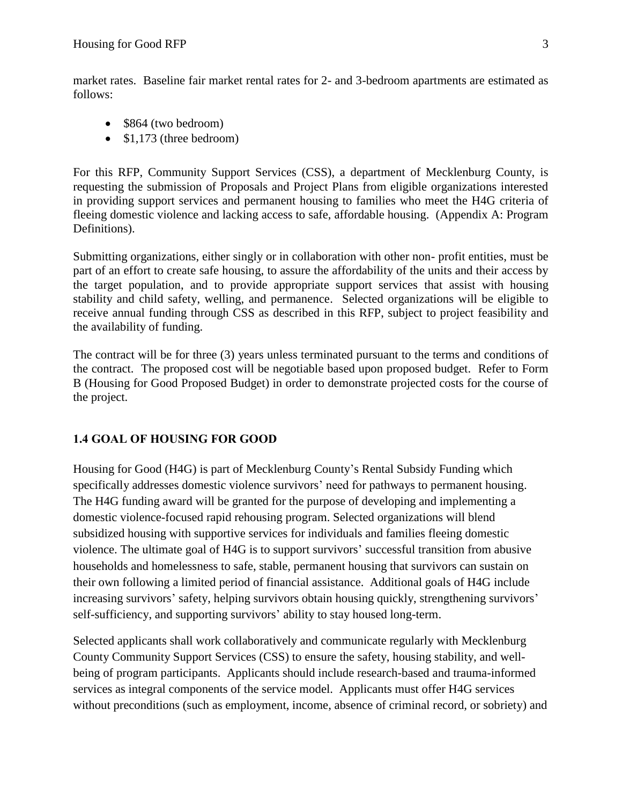market rates. Baseline fair market rental rates for 2- and 3-bedroom apartments are estimated as follows:

- \$864 (two bedroom)
- \$1,173 (three bedroom)

For this RFP, Community Support Services (CSS), a department of Mecklenburg County, is requesting the submission of Proposals and Project Plans from eligible organizations interested in providing support services and permanent housing to families who meet the H4G criteria of fleeing domestic violence and lacking access to safe, affordable housing. (Appendix A: Program Definitions).

Submitting organizations, either singly or in collaboration with other non- profit entities, must be part of an effort to create safe housing, to assure the affordability of the units and their access by the target population, and to provide appropriate support services that assist with housing stability and child safety, welling, and permanence. Selected organizations will be eligible to receive annual funding through CSS as described in this RFP, subject to project feasibility and the availability of funding.

The contract will be for three (3) years unless terminated pursuant to the terms and conditions of the contract. The proposed cost will be negotiable based upon proposed budget. Refer to Form B (Housing for Good Proposed Budget) in order to demonstrate projected costs for the course of the project.

## **1.4 GOAL OF HOUSING FOR GOOD**

Housing for Good (H4G) is part of Mecklenburg County's Rental Subsidy Funding which specifically addresses domestic violence survivors' need for pathways to permanent housing. The H4G funding award will be granted for the purpose of developing and implementing a domestic violence-focused rapid rehousing program. Selected organizations will blend subsidized housing with supportive services for individuals and families fleeing domestic violence. The ultimate goal of H4G is to support survivors' successful transition from abusive households and homelessness to safe, stable, permanent housing that survivors can sustain on their own following a limited period of financial assistance. Additional goals of H4G include increasing survivors' safety, helping survivors obtain housing quickly, strengthening survivors' self-sufficiency, and supporting survivors' ability to stay housed long-term.

Selected applicants shall work collaboratively and communicate regularly with Mecklenburg County Community Support Services (CSS) to ensure the safety, housing stability, and wellbeing of program participants. Applicants should include research-based and trauma-informed services as integral components of the service model. Applicants must offer H4G services without preconditions (such as employment, income, absence of criminal record, or sobriety) and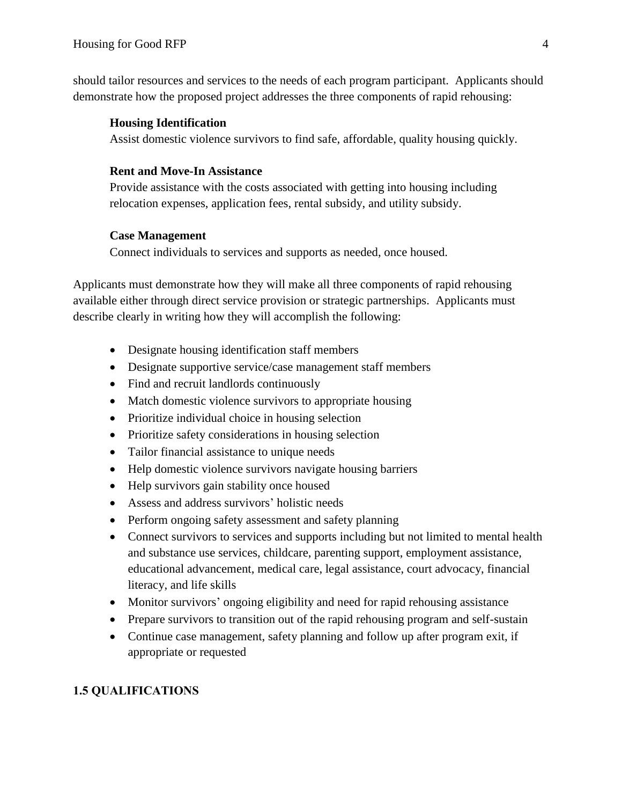should tailor resources and services to the needs of each program participant. Applicants should demonstrate how the proposed project addresses the three components of rapid rehousing:

#### **Housing Identification**

Assist domestic violence survivors to find safe, affordable, quality housing quickly.

#### **Rent and Move-In Assistance**

Provide assistance with the costs associated with getting into housing including relocation expenses, application fees, rental subsidy, and utility subsidy.

#### **Case Management**

Connect individuals to services and supports as needed, once housed.

Applicants must demonstrate how they will make all three components of rapid rehousing available either through direct service provision or strategic partnerships. Applicants must describe clearly in writing how they will accomplish the following:

- Designate housing identification staff members
- Designate supportive service/case management staff members
- Find and recruit landlords continuously
- Match domestic violence survivors to appropriate housing
- Prioritize individual choice in housing selection
- Prioritize safety considerations in housing selection
- Tailor financial assistance to unique needs
- Help domestic violence survivors navigate housing barriers
- Help survivors gain stability once housed
- Assess and address survivors' holistic needs
- Perform ongoing safety assessment and safety planning
- Connect survivors to services and supports including but not limited to mental health and substance use services, childcare, parenting support, employment assistance, educational advancement, medical care, legal assistance, court advocacy, financial literacy, and life skills
- Monitor survivors' ongoing eligibility and need for rapid rehousing assistance
- Prepare survivors to transition out of the rapid rehousing program and self-sustain
- Continue case management, safety planning and follow up after program exit, if appropriate or requested

## **1.5 QUALIFICATIONS**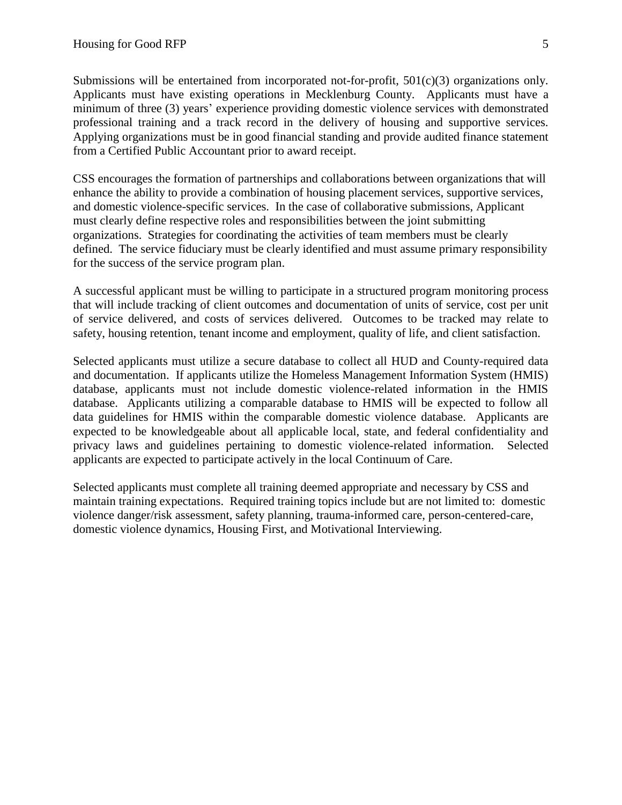Submissions will be entertained from incorporated not-for-profit,  $501(c)(3)$  organizations only. Applicants must have existing operations in Mecklenburg County. Applicants must have a minimum of three (3) years' experience providing domestic violence services with demonstrated professional training and a track record in the delivery of housing and supportive services. Applying organizations must be in good financial standing and provide audited finance statement from a Certified Public Accountant prior to award receipt.

CSS encourages the formation of partnerships and collaborations between organizations that will enhance the ability to provide a combination of housing placement services, supportive services, and domestic violence-specific services. In the case of collaborative submissions, Applicant must clearly define respective roles and responsibilities between the joint submitting organizations. Strategies for coordinating the activities of team members must be clearly defined. The service fiduciary must be clearly identified and must assume primary responsibility for the success of the service program plan.

A successful applicant must be willing to participate in a structured program monitoring process that will include tracking of client outcomes and documentation of units of service, cost per unit of service delivered, and costs of services delivered. Outcomes to be tracked may relate to safety, housing retention, tenant income and employment, quality of life, and client satisfaction.

Selected applicants must utilize a secure database to collect all HUD and County-required data and documentation. If applicants utilize the Homeless Management Information System (HMIS) database, applicants must not include domestic violence-related information in the HMIS database. Applicants utilizing a comparable database to HMIS will be expected to follow all data guidelines for HMIS within the comparable domestic violence database. Applicants are expected to be knowledgeable about all applicable local, state, and federal confidentiality and privacy laws and guidelines pertaining to domestic violence-related information. Selected applicants are expected to participate actively in the local Continuum of Care.

Selected applicants must complete all training deemed appropriate and necessary by CSS and maintain training expectations. Required training topics include but are not limited to: domestic violence danger/risk assessment, safety planning, trauma-informed care, person-centered-care, domestic violence dynamics, Housing First, and Motivational Interviewing.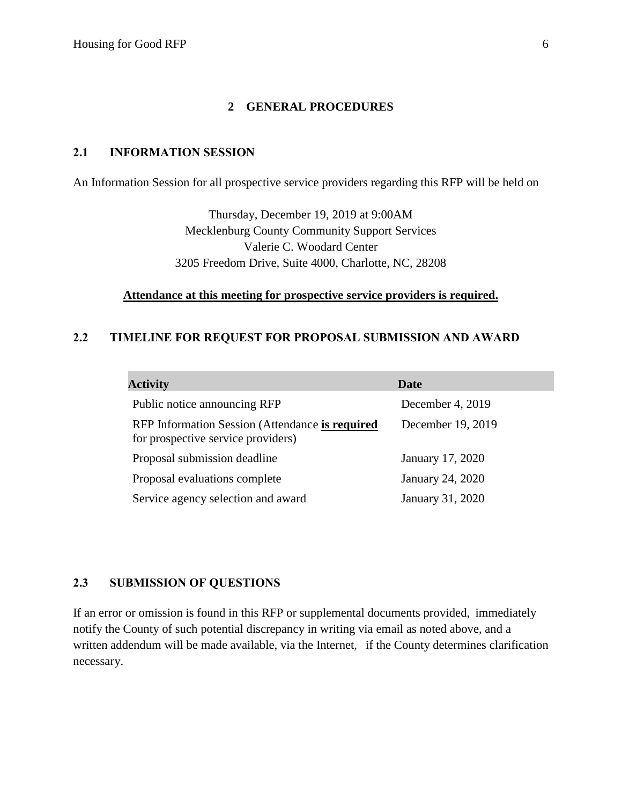#### **2 GENERAL PROCEDURES**

#### **2.1 INFORMATION SESSION**

An Information Session for all prospective service providers regarding this RFP will be held on

Thursday, December 19, 2019 at 9:00AM Mecklenburg County Community Support Services Valerie C. Woodard Center 3205 Freedom Drive, Suite 4000, Charlotte, NC, 28208

#### **Attendance at this meeting for prospective service providers is required.**

#### **2.2 TIMELINE FOR REQUEST FOR PROPOSAL SUBMISSION AND AWARD**

| <b>Activity</b>                                                                       | Date              |
|---------------------------------------------------------------------------------------|-------------------|
| Public notice announcing RFP                                                          | December 4, 2019  |
| RFP Information Session (Attendance is required<br>for prospective service providers) | December 19, 2019 |
| Proposal submission deadline                                                          | January 17, 2020  |
| Proposal evaluations complete                                                         | January 24, 2020  |
| Service agency selection and award                                                    | January 31, 2020  |

#### **2.3 SUBMISSION OF QUESTIONS**

If an error or omission is found in this RFP or supplemental documents provided, immediately notify the County of such potential discrepancy in writing via email as noted above, and a written addendum will be made available, via the Internet, if the County determines clarification necessary.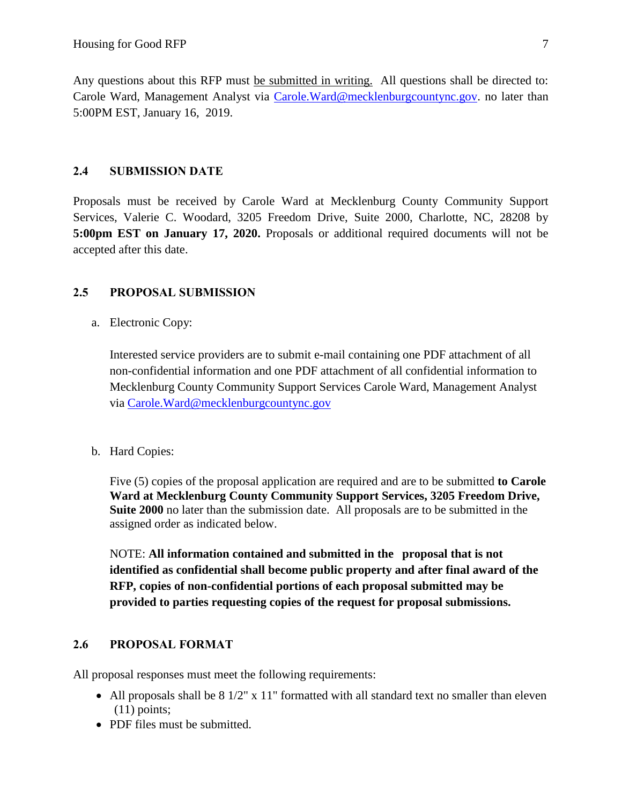Any questions about this RFP must be submitted in writing. All questions shall be directed to: Carole Ward, Management Analyst via [Carole.Ward@mecklenburgcountync.gov.](mailto:Carole.Ward@mecklenburgcountync.gov) no later than 5:00PM EST, January 16, 2019.

#### **2.4 SUBMISSION DATE**

Proposals must be received by Carole Ward at Mecklenburg County Community Support Services, Valerie C. Woodard, 3205 Freedom Drive, Suite 2000, Charlotte, NC, 28208 by **5:00pm EST on January 17, 2020.** Proposals or additional required documents will not be accepted after this date.

#### **2.5 PROPOSAL SUBMISSION**

a. Electronic Copy:

Interested service providers are to submit e-mail containing one PDF attachment of all non-confidential information and one PDF attachment of all confidential information to Mecklenburg County Community Support Services Carole Ward, Management Analyst via [Carole.Ward@mecklenburgcountync.gov](mailto:Carole.Ward@mecklenburgcountync.gov)

b. Hard Copies:

Five (5) copies of the proposal application are required and are to be submitted **to Carole Ward at Mecklenburg County Community Support Services, 3205 Freedom Drive, Suite 2000** no later than the submission date. All proposals are to be submitted in the assigned order as indicated below.

NOTE: **All information contained and submitted in the proposal that is not identified as confidential shall become public property and after final award of the RFP, copies of non-confidential portions of each proposal submitted may be provided to parties requesting copies of the request for proposal submissions.** 

#### **2.6 PROPOSAL FORMAT**

All proposal responses must meet the following requirements:

- All proposals shall be 8 1/2" x 11" formatted with all standard text no smaller than eleven (11) points;
- PDF files must be submitted.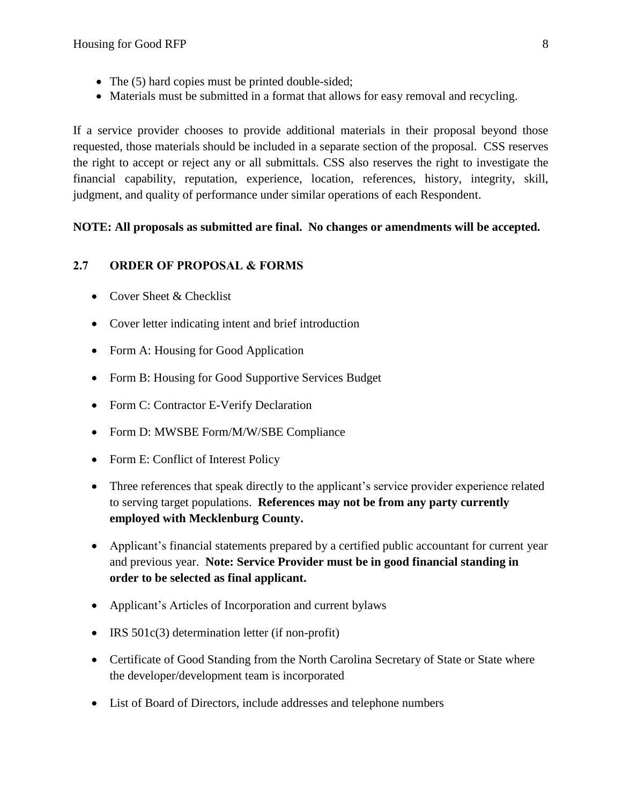- The (5) hard copies must be printed double-sided;
- Materials must be submitted in a format that allows for easy removal and recycling.

If a service provider chooses to provide additional materials in their proposal beyond those requested, those materials should be included in a separate section of the proposal. CSS reserves the right to accept or reject any or all submittals. CSS also reserves the right to investigate the financial capability, reputation, experience, location, references, history, integrity, skill, judgment, and quality of performance under similar operations of each Respondent.

#### **NOTE: All proposals as submitted are final. No changes or amendments will be accepted.**

#### **2.7 ORDER OF PROPOSAL & FORMS**

- Cover Sheet & Checklist
- Cover letter indicating intent and brief introduction
- Form A: Housing for Good Application
- Form B: Housing for Good Supportive Services Budget
- Form C: Contractor E-Verify Declaration
- Form D: MWSBE Form/M/W/SBE Compliance
- Form E: Conflict of Interest Policy
- Three references that speak directly to the applicant's service provider experience related to serving target populations. **References may not be from any party currently employed with Mecklenburg County.**
- Applicant's financial statements prepared by a certified public accountant for current year and previous year. **Note: Service Provider must be in good financial standing in order to be selected as final applicant.**
- Applicant's Articles of Incorporation and current bylaws
- IRS 501c(3) determination letter (if non-profit)
- Certificate of Good Standing from the North Carolina Secretary of State or State where the developer/development team is incorporated
- List of Board of Directors, include addresses and telephone numbers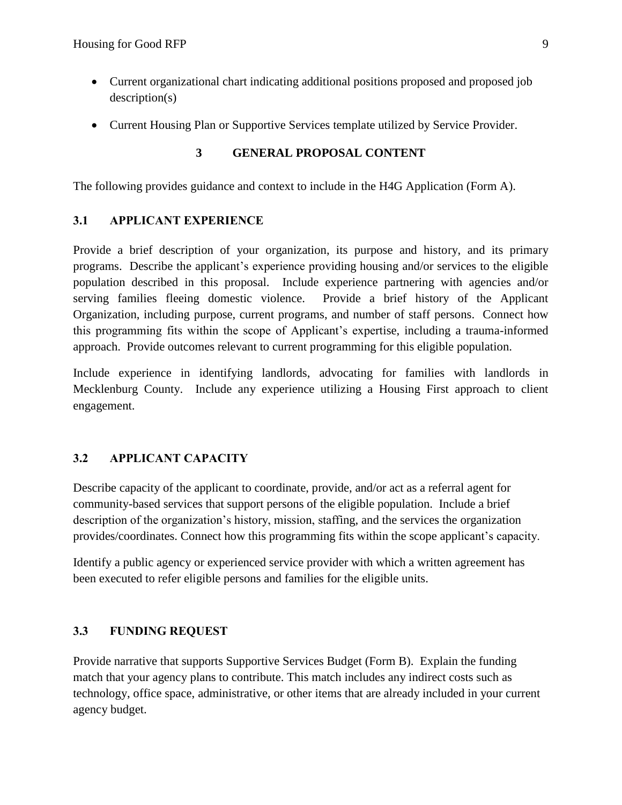- Current organizational chart indicating additional positions proposed and proposed job description(s)
- Current Housing Plan or Supportive Services template utilized by Service Provider.

#### **3 GENERAL PROPOSAL CONTENT**

The following provides guidance and context to include in the H4G Application (Form A).

#### **3.1 APPLICANT EXPERIENCE**

Provide a brief description of your organization, its purpose and history, and its primary programs. Describe the applicant's experience providing housing and/or services to the eligible population described in this proposal. Include experience partnering with agencies and/or serving families fleeing domestic violence. Provide a brief history of the Applicant Organization, including purpose, current programs, and number of staff persons. Connect how this programming fits within the scope of Applicant's expertise, including a trauma-informed approach. Provide outcomes relevant to current programming for this eligible population.

Include experience in identifying landlords, advocating for families with landlords in Mecklenburg County. Include any experience utilizing a Housing First approach to client engagement.

## **3.2 APPLICANT CAPACITY**

Describe capacity of the applicant to coordinate, provide, and/or act as a referral agent for community-based services that support persons of the eligible population. Include a brief description of the organization's history, mission, staffing, and the services the organization provides/coordinates. Connect how this programming fits within the scope applicant's capacity.

Identify a public agency or experienced service provider with which a written agreement has been executed to refer eligible persons and families for the eligible units.

## **3.3 FUNDING REQUEST**

Provide narrative that supports Supportive Services Budget (Form B). Explain the funding match that your agency plans to contribute. This match includes any indirect costs such as technology, office space, administrative, or other items that are already included in your current agency budget.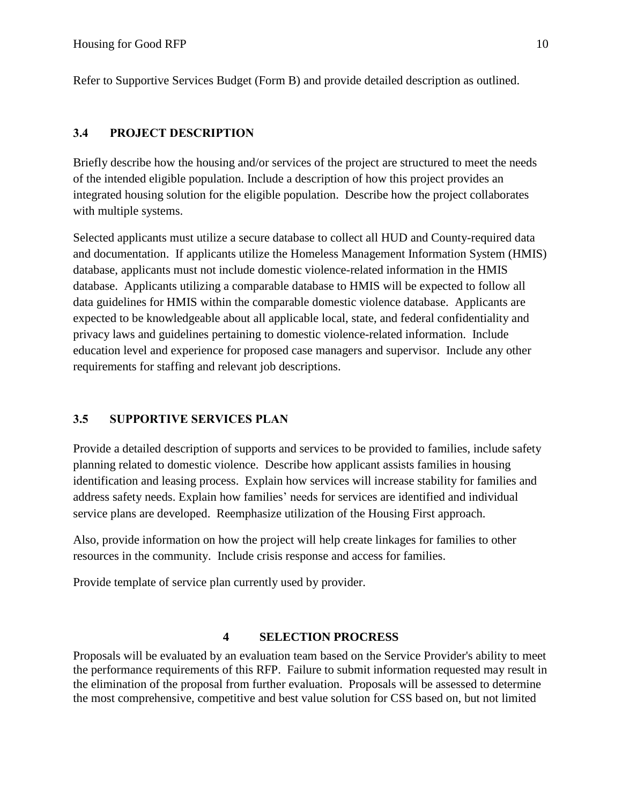Refer to Supportive Services Budget (Form B) and provide detailed description as outlined.

## **3.4 PROJECT DESCRIPTION**

Briefly describe how the housing and/or services of the project are structured to meet the needs of the intended eligible population. Include a description of how this project provides an integrated housing solution for the eligible population. Describe how the project collaborates with multiple systems.

Selected applicants must utilize a secure database to collect all HUD and County-required data and documentation. If applicants utilize the Homeless Management Information System (HMIS) database, applicants must not include domestic violence-related information in the HMIS database. Applicants utilizing a comparable database to HMIS will be expected to follow all data guidelines for HMIS within the comparable domestic violence database. Applicants are expected to be knowledgeable about all applicable local, state, and federal confidentiality and privacy laws and guidelines pertaining to domestic violence-related information. Include education level and experience for proposed case managers and supervisor. Include any other requirements for staffing and relevant job descriptions.

## **3.5 SUPPORTIVE SERVICES PLAN**

Provide a detailed description of supports and services to be provided to families, include safety planning related to domestic violence. Describe how applicant assists families in housing identification and leasing process. Explain how services will increase stability for families and address safety needs. Explain how families' needs for services are identified and individual service plans are developed. Reemphasize utilization of the Housing First approach.

Also, provide information on how the project will help create linkages for families to other resources in the community. Include crisis response and access for families.

Provide template of service plan currently used by provider.

## **4 SELECTION PROCRESS**

Proposals will be evaluated by an evaluation team based on the Service Provider's ability to meet the performance requirements of this RFP. Failure to submit information requested may result in the elimination of the proposal from further evaluation. Proposals will be assessed to determine the most comprehensive, competitive and best value solution for CSS based on, but not limited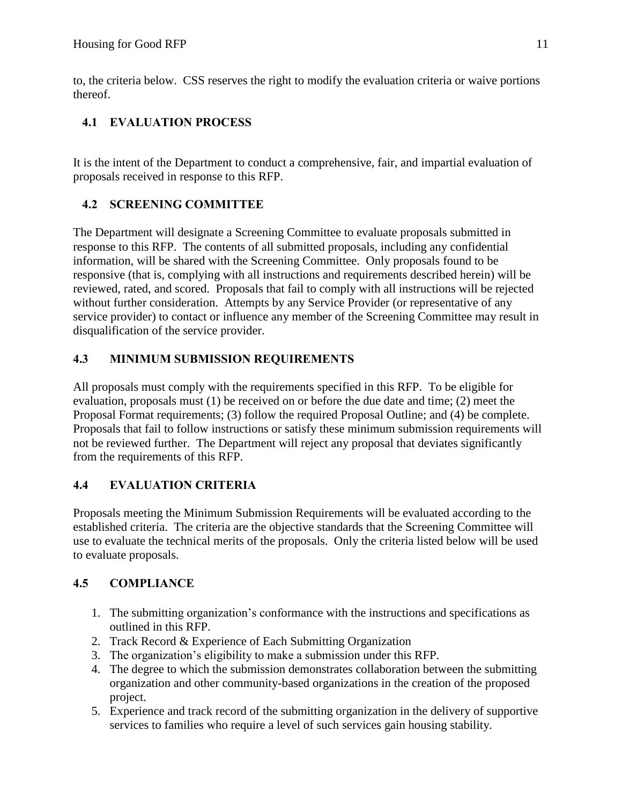to, the criteria below. CSS reserves the right to modify the evaluation criteria or waive portions thereof.

# **4.1 EVALUATION PROCESS**

It is the intent of the Department to conduct a comprehensive, fair, and impartial evaluation of proposals received in response to this RFP.

# **4.2 SCREENING COMMITTEE**

The Department will designate a Screening Committee to evaluate proposals submitted in response to this RFP. The contents of all submitted proposals, including any confidential information, will be shared with the Screening Committee. Only proposals found to be responsive (that is, complying with all instructions and requirements described herein) will be reviewed, rated, and scored. Proposals that fail to comply with all instructions will be rejected without further consideration. Attempts by any Service Provider (or representative of any service provider) to contact or influence any member of the Screening Committee may result in disqualification of the service provider.

## **4.3 MINIMUM SUBMISSION REQUIREMENTS**

All proposals must comply with the requirements specified in this RFP. To be eligible for evaluation, proposals must (1) be received on or before the due date and time; (2) meet the Proposal Format requirements; (3) follow the required Proposal Outline; and (4) be complete. Proposals that fail to follow instructions or satisfy these minimum submission requirements will not be reviewed further. The Department will reject any proposal that deviates significantly from the requirements of this RFP.

# **4.4 EVALUATION CRITERIA**

Proposals meeting the Minimum Submission Requirements will be evaluated according to the established criteria. The criteria are the objective standards that the Screening Committee will use to evaluate the technical merits of the proposals. Only the criteria listed below will be used to evaluate proposals.

## **4.5 COMPLIANCE**

- 1. The submitting organization's conformance with the instructions and specifications as outlined in this RFP.
- 2. Track Record & Experience of Each Submitting Organization
- 3. The organization's eligibility to make a submission under this RFP.
- 4. The degree to which the submission demonstrates collaboration between the submitting organization and other community-based organizations in the creation of the proposed project.
- 5. Experience and track record of the submitting organization in the delivery of supportive services to families who require a level of such services gain housing stability.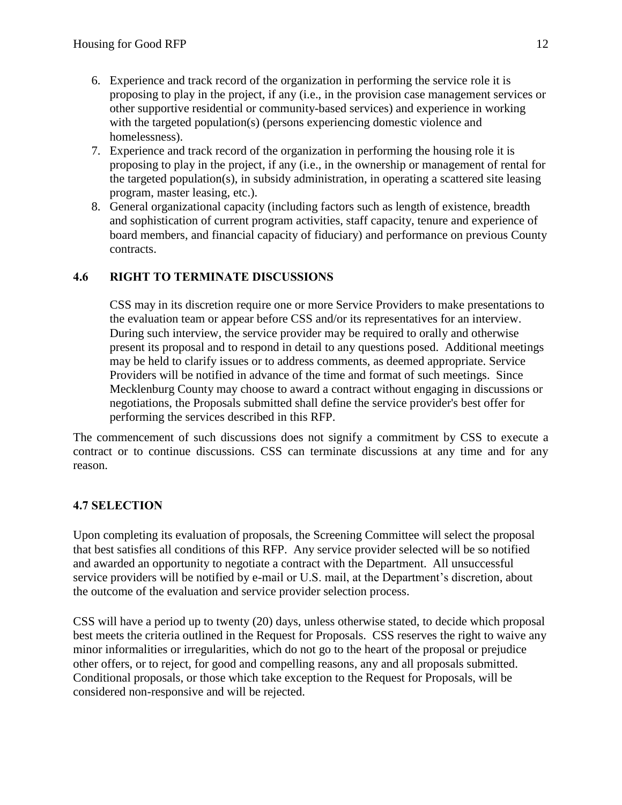- 6. Experience and track record of the organization in performing the service role it is proposing to play in the project, if any (i.e., in the provision case management services or other supportive residential or community-based services) and experience in working with the targeted population(s) (persons experiencing domestic violence and homelessness).
- 7. Experience and track record of the organization in performing the housing role it is proposing to play in the project, if any (i.e., in the ownership or management of rental for the targeted population(s), in subsidy administration, in operating a scattered site leasing program, master leasing, etc.).
- 8. General organizational capacity (including factors such as length of existence, breadth and sophistication of current program activities, staff capacity, tenure and experience of board members, and financial capacity of fiduciary) and performance on previous County contracts.

## **4.6 RIGHT TO TERMINATE DISCUSSIONS**

CSS may in its discretion require one or more Service Providers to make presentations to the evaluation team or appear before CSS and/or its representatives for an interview. During such interview, the service provider may be required to orally and otherwise present its proposal and to respond in detail to any questions posed. Additional meetings may be held to clarify issues or to address comments, as deemed appropriate. Service Providers will be notified in advance of the time and format of such meetings. Since Mecklenburg County may choose to award a contract without engaging in discussions or negotiations, the Proposals submitted shall define the service provider's best offer for performing the services described in this RFP.

The commencement of such discussions does not signify a commitment by CSS to execute a contract or to continue discussions. CSS can terminate discussions at any time and for any reason.

## **4.7 SELECTION**

Upon completing its evaluation of proposals, the Screening Committee will select the proposal that best satisfies all conditions of this RFP. Any service provider selected will be so notified and awarded an opportunity to negotiate a contract with the Department. All unsuccessful service providers will be notified by e-mail or U.S. mail, at the Department's discretion, about the outcome of the evaluation and service provider selection process.

CSS will have a period up to twenty (20) days, unless otherwise stated, to decide which proposal best meets the criteria outlined in the Request for Proposals. CSS reserves the right to waive any minor informalities or irregularities, which do not go to the heart of the proposal or prejudice other offers, or to reject, for good and compelling reasons, any and all proposals submitted. Conditional proposals, or those which take exception to the Request for Proposals, will be considered non-responsive and will be rejected.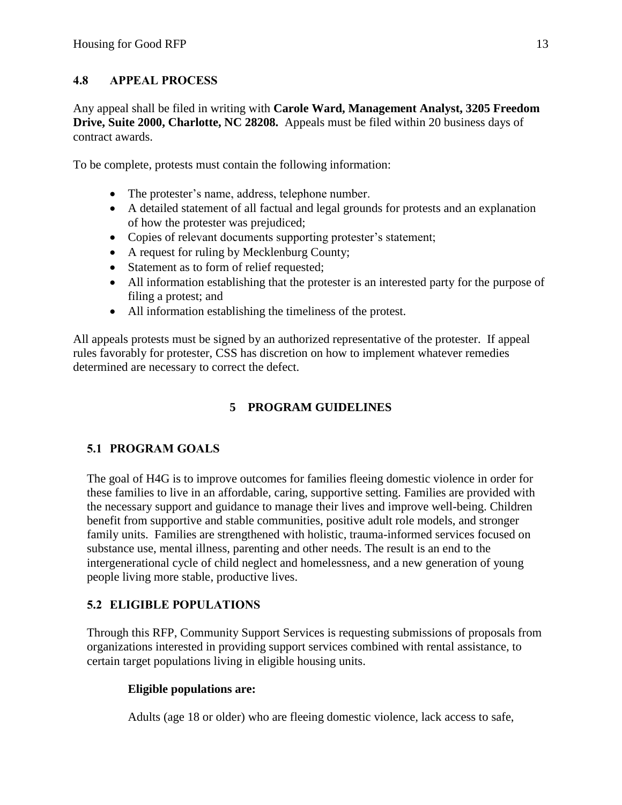## **4.8 APPEAL PROCESS**

Any appeal shall be filed in writing with **Carole Ward, Management Analyst, 3205 Freedom Drive, Suite 2000, Charlotte, NC 28208.** Appeals must be filed within 20 business days of contract awards.

To be complete, protests must contain the following information:

- The protester's name, address, telephone number.
- A detailed statement of all factual and legal grounds for protests and an explanation of how the protester was prejudiced;
- Copies of relevant documents supporting protester's statement;
- A request for ruling by Mecklenburg County;
- Statement as to form of relief requested;
- All information establishing that the protester is an interested party for the purpose of filing a protest; and
- All information establishing the timeliness of the protest.

All appeals protests must be signed by an authorized representative of the protester. If appeal rules favorably for protester, CSS has discretion on how to implement whatever remedies determined are necessary to correct the defect.

# **5 PROGRAM GUIDELINES**

# **5.1 PROGRAM GOALS**

The goal of H4G is to improve outcomes for families fleeing domestic violence in order for these families to live in an affordable, caring, supportive setting. Families are provided with the necessary support and guidance to manage their lives and improve well-being. Children benefit from supportive and stable communities, positive adult role models, and stronger family units. Families are strengthened with holistic, trauma-informed services focused on substance use, mental illness, parenting and other needs. The result is an end to the intergenerational cycle of child neglect and homelessness, and a new generation of young people living more stable, productive lives.

## **5.2 ELIGIBLE POPULATIONS**

Through this RFP, Community Support Services is requesting submissions of proposals from organizations interested in providing support services combined with rental assistance, to certain target populations living in eligible housing units.

## **Eligible populations are:**

Adults (age 18 or older) who are fleeing domestic violence*,* lack access to safe,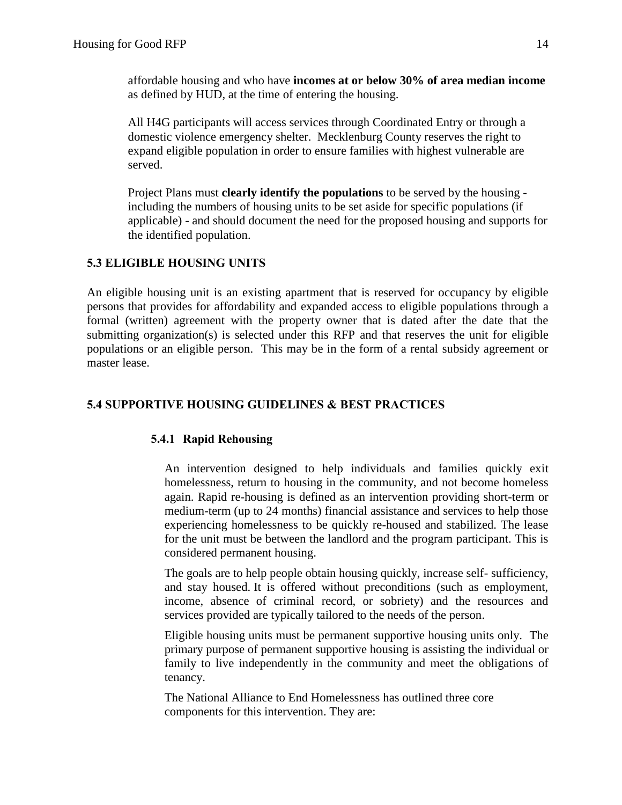affordable housing and who have **incomes at or below 30% of area median income** as defined by HUD, at the time of entering the housing.

All H4G participants will access services through Coordinated Entry or through a domestic violence emergency shelter. Mecklenburg County reserves the right to expand eligible population in order to ensure families with highest vulnerable are served.

Project Plans must **clearly identify the populations** to be served by the housing including the numbers of housing units to be set aside for specific populations (if applicable) - and should document the need for the proposed housing and supports for the identified population.

## **5.3 ELIGIBLE HOUSING UNITS**

An eligible housing unit is an existing apartment that is reserved for occupancy by eligible persons that provides for affordability and expanded access to eligible populations through a formal (written) agreement with the property owner that is dated after the date that the submitting organization(s) is selected under this RFP and that reserves the unit for eligible populations or an eligible person. This may be in the form of a rental subsidy agreement or master lease.

## **5.4 SUPPORTIVE HOUSING GUIDELINES & BEST PRACTICES**

## **5.4.1 Rapid Rehousing**

An intervention designed to help individuals and families quickly exit homelessness, return to housing in the community, and not become homeless again. Rapid re-housing is defined as an intervention providing short-term or medium-term (up to 24 months) financial assistance and services to help those experiencing homelessness to be quickly re-housed and stabilized. The lease for the unit must be between the landlord and the program participant. This is considered permanent housing.

The goals are to help people obtain housing quickly, increase self- sufficiency, and stay housed. It is offered without preconditions (such as employment, income, absence of criminal record, or sobriety) and the resources and services provided are typically tailored to the needs of the person.

Eligible housing units must be permanent supportive housing units only. The primary purpose of permanent supportive housing is assisting the individual or family to live independently in the community and meet the obligations of tenancy.

The National Alliance to End Homelessness has outlined three core components for this intervention. They are: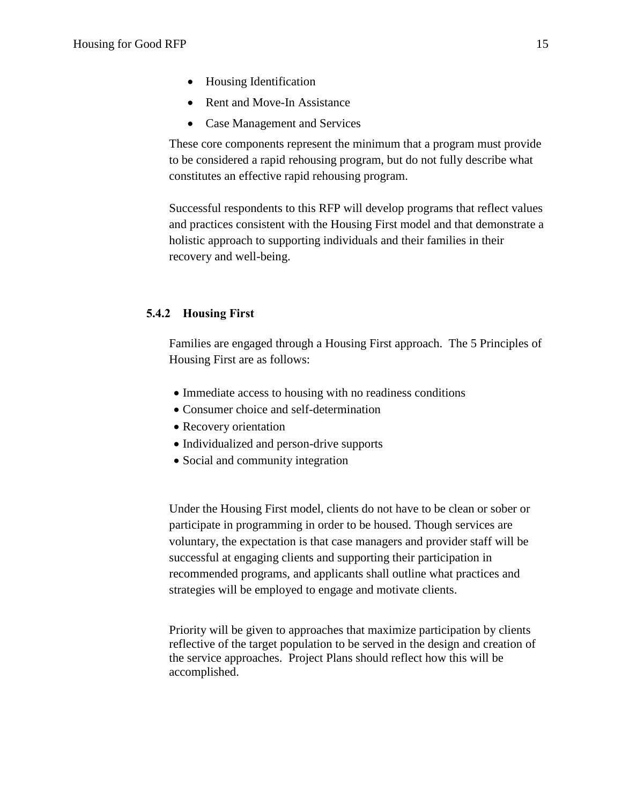- Housing Identification
- Rent and Move-In Assistance
- Case Management and Services

These core components represent the minimum that a program must provide to be considered a rapid rehousing program, but do not fully describe what constitutes an effective rapid rehousing program.

Successful respondents to this RFP will develop programs that reflect values and practices consistent with the Housing First model and that demonstrate a holistic approach to supporting individuals and their families in their recovery and well-being.

## **5.4.2 Housing First**

Families are engaged through a Housing First approach. The 5 Principles of Housing First are as follows:

- Immediate access to housing with no readiness conditions
- Consumer choice and self-determination
- Recovery orientation
- Individualized and person-drive supports
- Social and community integration

Under the Housing First model, clients do not have to be clean or sober or participate in programming in order to be housed. Though services are voluntary, the expectation is that case managers and provider staff will be successful at engaging clients and supporting their participation in recommended programs, and applicants shall outline what practices and strategies will be employed to engage and motivate clients.

Priority will be given to approaches that maximize participation by clients reflective of the target population to be served in the design and creation of the service approaches. Project Plans should reflect how this will be accomplished.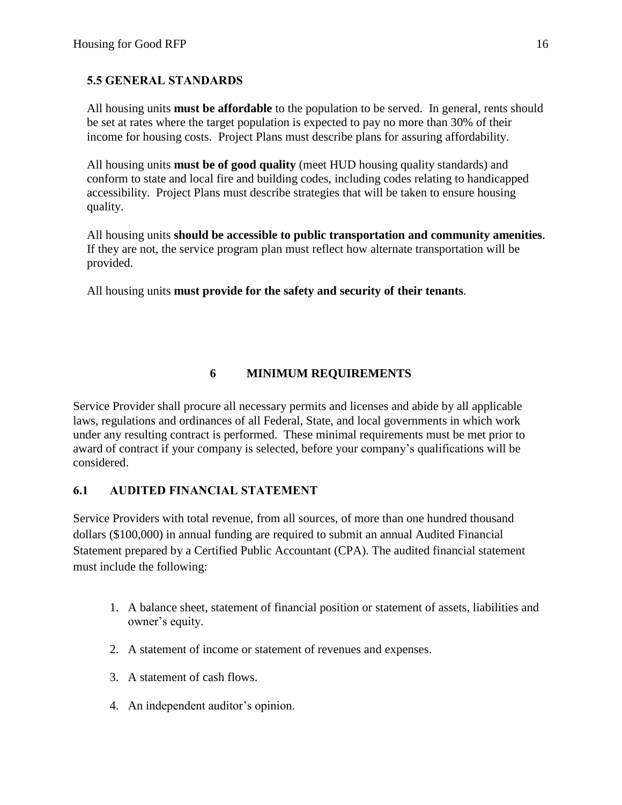## **5.5 GENERAL STANDARDS**

All housing units **must be affordable** to the population to be served. In general, rents should be set at rates where the target population is expected to pay no more than 30% of their income for housing costs*.* Project Plans must describe plans for assuring affordability.

All housing units **must be of good quality** (meet HUD housing quality standards) and conform to state and local fire and building codes, including codes relating to handicapped accessibility. Project Plans must describe strategies that will be taken to ensure housing quality.

All housing units **should be accessible to public transportation and community amenities**. If they are not, the service program plan must reflect how alternate transportation will be provided.

All housing units **must provide for the safety and security of their tenants**.

## **6 MINIMUM REQUIREMENTS**

Service Provider shall procure all necessary permits and licenses and abide by all applicable laws, regulations and ordinances of all Federal, State, and local governments in which work under any resulting contract is performed. These minimal requirements must be met prior to award of contract if your company is selected, before your company's qualifications will be considered.

## **6.1 AUDITED FINANCIAL STATEMENT**

Service Providers with total revenue, from all sources, of more than one hundred thousand dollars (\$100,000) in annual funding are required to submit an annual Audited Financial Statement prepared by a Certified Public Accountant (CPA). The audited financial statement must include the following:

- 1. A balance sheet, statement of financial position or statement of assets, liabilities and owner's equity.
- 2. A statement of income or statement of revenues and expenses.
- 3. A statement of cash flows.
- 4. An independent auditor's opinion.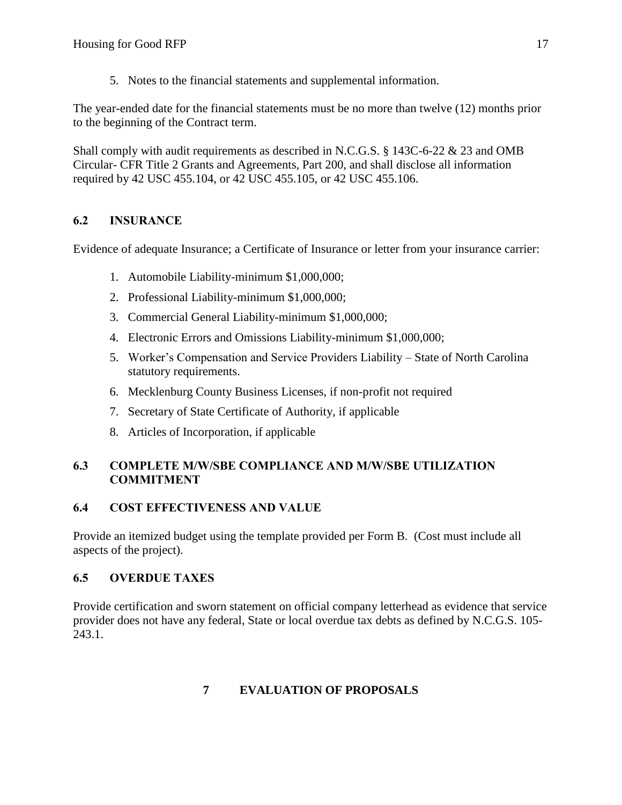5. Notes to the financial statements and supplemental information.

The year-ended date for the financial statements must be no more than twelve (12) months prior to the beginning of the Contract term.

Shall comply with audit requirements as described in N.C.G.S. § 143C-6-22 & 23 and OMB Circular- CFR Title 2 Grants and Agreements, Part 200, and shall disclose all information required by 42 USC 455.104, or 42 USC 455.105, or 42 USC 455.106.

## **6.2 INSURANCE**

Evidence of adequate Insurance; a Certificate of Insurance or letter from your insurance carrier:

- 1. Automobile Liability-minimum \$1,000,000;
- 2. Professional Liability-minimum \$1,000,000;
- 3. Commercial General Liability-minimum \$1,000,000;
- 4. Electronic Errors and Omissions Liability-minimum \$1,000,000;
- 5. Worker's Compensation and Service Providers Liability State of North Carolina statutory requirements.
- 6. Mecklenburg County Business Licenses, if non-profit not required
- 7. Secretary of State Certificate of Authority, if applicable
- 8. Articles of Incorporation, if applicable

## **6.3 COMPLETE M/W/SBE COMPLIANCE AND M/W/SBE UTILIZATION COMMITMENT**

## **6.4 COST EFFECTIVENESS AND VALUE**

Provide an itemized budget using the template provided per Form B. (Cost must include all aspects of the project).

## **6.5 OVERDUE TAXES**

Provide certification and sworn statement on official company letterhead as evidence that service provider does not have any federal, State or local overdue tax debts as defined by N.C.G.S. 105- 243.1.

# **7 EVALUATION OF PROPOSALS**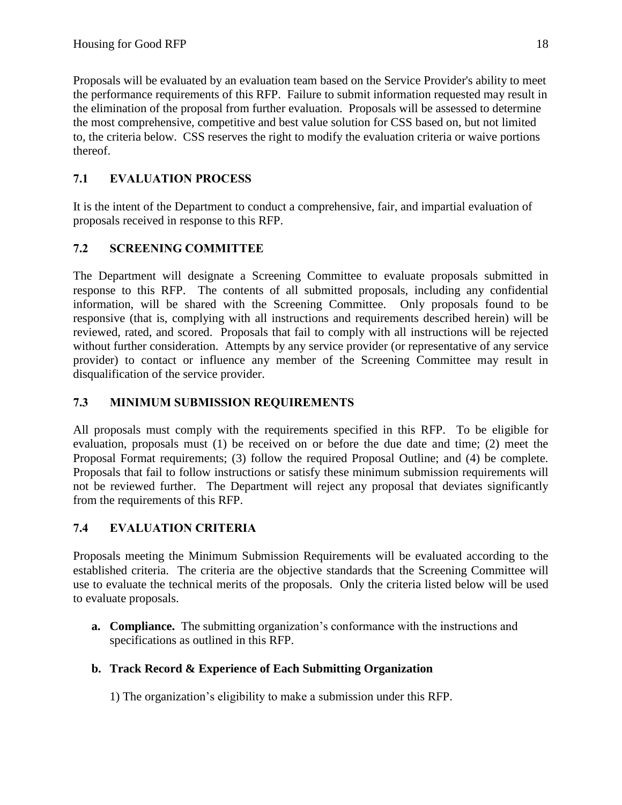Proposals will be evaluated by an evaluation team based on the Service Provider's ability to meet the performance requirements of this RFP. Failure to submit information requested may result in the elimination of the proposal from further evaluation. Proposals will be assessed to determine the most comprehensive, competitive and best value solution for CSS based on, but not limited to, the criteria below. CSS reserves the right to modify the evaluation criteria or waive portions thereof.

# **7.1 EVALUATION PROCESS**

It is the intent of the Department to conduct a comprehensive, fair, and impartial evaluation of proposals received in response to this RFP.

# **7.2 SCREENING COMMITTEE**

The Department will designate a Screening Committee to evaluate proposals submitted in response to this RFP. The contents of all submitted proposals, including any confidential information, will be shared with the Screening Committee. Only proposals found to be responsive (that is, complying with all instructions and requirements described herein) will be reviewed, rated, and scored. Proposals that fail to comply with all instructions will be rejected without further consideration. Attempts by any service provider (or representative of any service provider) to contact or influence any member of the Screening Committee may result in disqualification of the service provider.

# **7.3 MINIMUM SUBMISSION REQUIREMENTS**

All proposals must comply with the requirements specified in this RFP. To be eligible for evaluation, proposals must (1) be received on or before the due date and time; (2) meet the Proposal Format requirements; (3) follow the required Proposal Outline; and (4) be complete. Proposals that fail to follow instructions or satisfy these minimum submission requirements will not be reviewed further. The Department will reject any proposal that deviates significantly from the requirements of this RFP.

# **7.4 EVALUATION CRITERIA**

Proposals meeting the Minimum Submission Requirements will be evaluated according to the established criteria. The criteria are the objective standards that the Screening Committee will use to evaluate the technical merits of the proposals. Only the criteria listed below will be used to evaluate proposals.

**a. Compliance.** The submitting organization's conformance with the instructions and specifications as outlined in this RFP.

# **b. Track Record & Experience of Each Submitting Organization**

1) The organization's eligibility to make a submission under this RFP.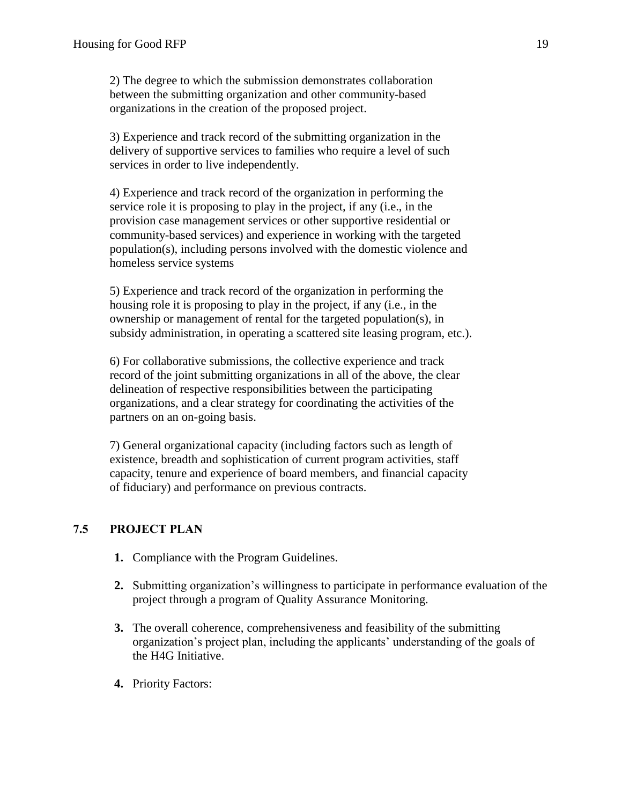2) The degree to which the submission demonstrates collaboration between the submitting organization and other community-based organizations in the creation of the proposed project.

3) Experience and track record of the submitting organization in the delivery of supportive services to families who require a level of such services in order to live independently.

4) Experience and track record of the organization in performing the service role it is proposing to play in the project, if any (i.e., in the provision case management services or other supportive residential or community-based services) and experience in working with the targeted population(s), including persons involved with the domestic violence and homeless service systems

5) Experience and track record of the organization in performing the housing role it is proposing to play in the project, if any (i.e., in the ownership or management of rental for the targeted population(s), in subsidy administration, in operating a scattered site leasing program, etc.).

6) For collaborative submissions, the collective experience and track record of the joint submitting organizations in all of the above, the clear delineation of respective responsibilities between the participating organizations, and a clear strategy for coordinating the activities of the partners on an on-going basis.

7) General organizational capacity (including factors such as length of existence, breadth and sophistication of current program activities, staff capacity, tenure and experience of board members, and financial capacity of fiduciary) and performance on previous contracts.

## **7.5 PROJECT PLAN**

- **1.** Compliance with the Program Guidelines.
- **2.** Submitting organization's willingness to participate in performance evaluation of the project through a program of Quality Assurance Monitoring.
- **3.** The overall coherence, comprehensiveness and feasibility of the submitting organization's project plan, including the applicants' understanding of the goals of the H4G Initiative.
- **4.** Priority Factors: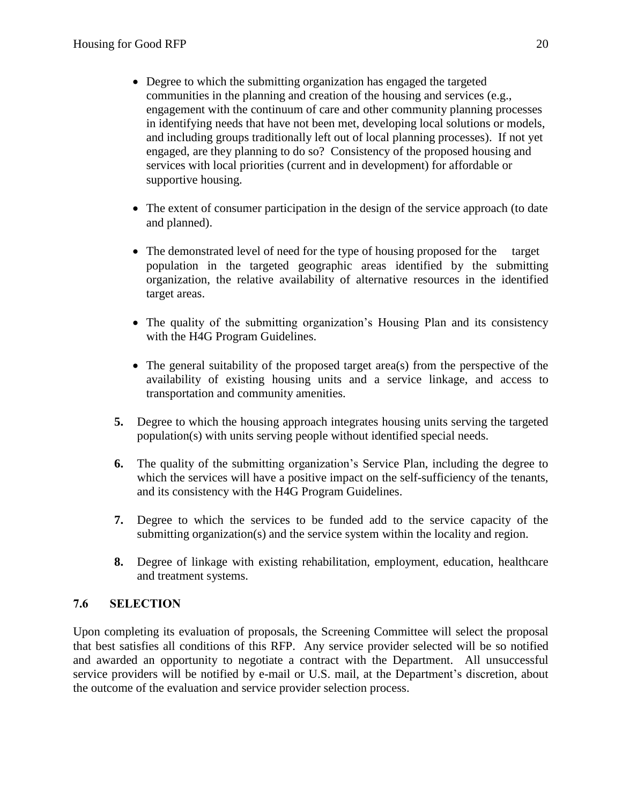- Degree to which the submitting organization has engaged the targeted communities in the planning and creation of the housing and services (e.g., engagement with the continuum of care and other community planning processes in identifying needs that have not been met, developing local solutions or models, and including groups traditionally left out of local planning processes). If not yet engaged, are they planning to do so? Consistency of the proposed housing and services with local priorities (current and in development) for affordable or supportive housing.
- The extent of consumer participation in the design of the service approach (to date and planned).
- The demonstrated level of need for the type of housing proposed for the target population in the targeted geographic areas identified by the submitting organization, the relative availability of alternative resources in the identified target areas.
- The quality of the submitting organization's Housing Plan and its consistency with the H4G Program Guidelines.
- The general suitability of the proposed target area(s) from the perspective of the availability of existing housing units and a service linkage, and access to transportation and community amenities.
- **5.** Degree to which the housing approach integrates housing units serving the targeted population(s) with units serving people without identified special needs.
- **6.** The quality of the submitting organization's Service Plan, including the degree to which the services will have a positive impact on the self-sufficiency of the tenants, and its consistency with the H4G Program Guidelines.
- **7.** Degree to which the services to be funded add to the service capacity of the submitting organization(s) and the service system within the locality and region.
- **8.** Degree of linkage with existing rehabilitation, employment, education, healthcare and treatment systems.

## **7.6 SELECTION**

Upon completing its evaluation of proposals, the Screening Committee will select the proposal that best satisfies all conditions of this RFP. Any service provider selected will be so notified and awarded an opportunity to negotiate a contract with the Department. All unsuccessful service providers will be notified by e-mail or U.S. mail, at the Department's discretion, about the outcome of the evaluation and service provider selection process.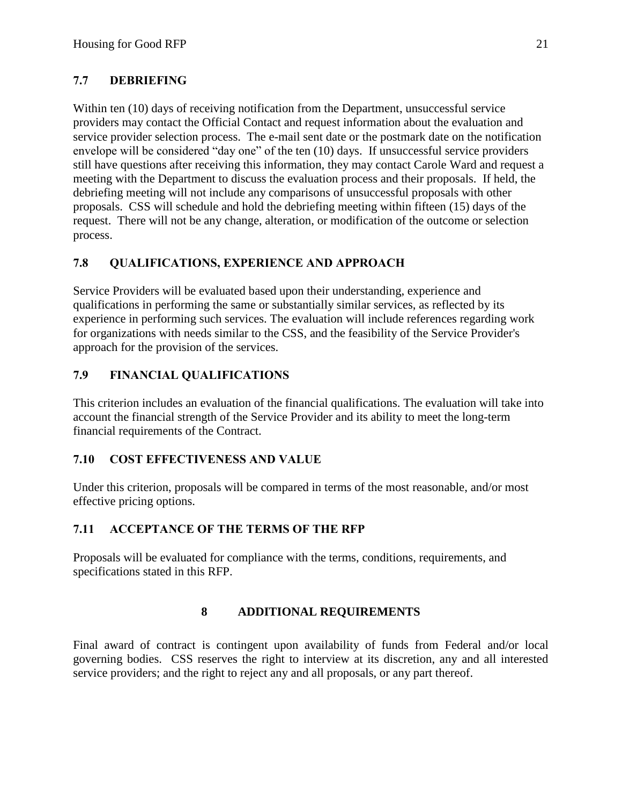# **7.7 DEBRIEFING**

Within ten (10) days of receiving notification from the Department, unsuccessful service providers may contact the Official Contact and request information about the evaluation and service provider selection process. The e-mail sent date or the postmark date on the notification envelope will be considered "day one" of the ten (10) days. If unsuccessful service providers still have questions after receiving this information, they may contact Carole Ward and request a meeting with the Department to discuss the evaluation process and their proposals. If held, the debriefing meeting will not include any comparisons of unsuccessful proposals with other proposals. CSS will schedule and hold the debriefing meeting within fifteen (15) days of the request. There will not be any change, alteration, or modification of the outcome or selection process.

## **7.8 QUALIFICATIONS, EXPERIENCE AND APPROACH**

Service Providers will be evaluated based upon their understanding, experience and qualifications in performing the same or substantially similar services, as reflected by its experience in performing such services. The evaluation will include references regarding work for organizations with needs similar to the CSS, and the feasibility of the Service Provider's approach for the provision of the services.

## **7.9 FINANCIAL QUALIFICATIONS**

This criterion includes an evaluation of the financial qualifications. The evaluation will take into account the financial strength of the Service Provider and its ability to meet the long-term financial requirements of the Contract.

## **7.10 COST EFFECTIVENESS AND VALUE**

Under this criterion, proposals will be compared in terms of the most reasonable, and/or most effective pricing options.

## **7.11 ACCEPTANCE OF THE TERMS OF THE RFP**

Proposals will be evaluated for compliance with the terms, conditions, requirements, and specifications stated in this RFP.

## **8 ADDITIONAL REQUIREMENTS**

Final award of contract is contingent upon availability of funds from Federal and/or local governing bodies. CSS reserves the right to interview at its discretion, any and all interested service providers; and the right to reject any and all proposals, or any part thereof.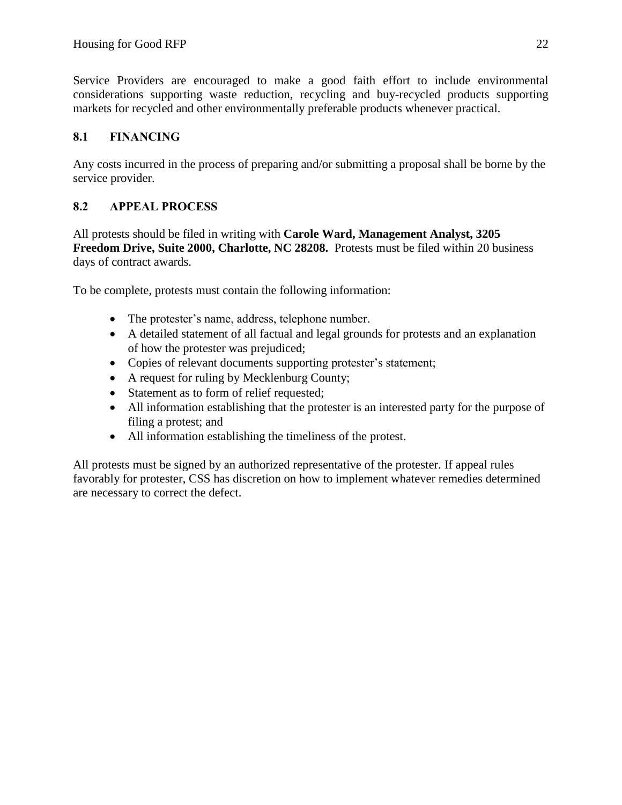Service Providers are encouraged to make a good faith effort to include environmental considerations supporting waste reduction, recycling and buy-recycled products supporting markets for recycled and other environmentally preferable products whenever practical.

## **8.1 FINANCING**

Any costs incurred in the process of preparing and/or submitting a proposal shall be borne by the service provider.

## **8.2 APPEAL PROCESS**

All protests should be filed in writing with **Carole Ward, Management Analyst, 3205 Freedom Drive, Suite 2000, Charlotte, NC 28208.** Protests must be filed within 20 business days of contract awards.

To be complete, protests must contain the following information:

- The protester's name, address, telephone number.
- A detailed statement of all factual and legal grounds for protests and an explanation of how the protester was prejudiced;
- Copies of relevant documents supporting protester's statement;
- A request for ruling by Mecklenburg County;
- Statement as to form of relief requested;
- All information establishing that the protester is an interested party for the purpose of filing a protest; and
- All information establishing the timeliness of the protest.

All protests must be signed by an authorized representative of the protester. If appeal rules favorably for protester, CSS has discretion on how to implement whatever remedies determined are necessary to correct the defect.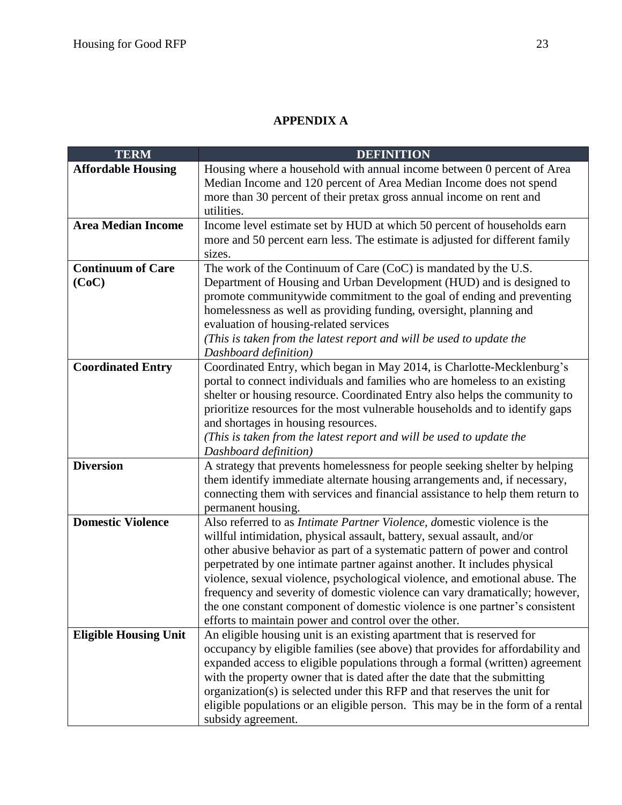# **APPENDIX A**

| <b>TERM</b>                  | <b>DEFINITION</b>                                                                             |
|------------------------------|-----------------------------------------------------------------------------------------------|
| <b>Affordable Housing</b>    | Housing where a household with annual income between 0 percent of Area                        |
|                              | Median Income and 120 percent of Area Median Income does not spend                            |
|                              | more than 30 percent of their pretax gross annual income on rent and                          |
|                              | utilities.                                                                                    |
| <b>Area Median Income</b>    | Income level estimate set by HUD at which 50 percent of households earn                       |
|                              | more and 50 percent earn less. The estimate is adjusted for different family                  |
| <b>Continuum of Care</b>     | sizes.<br>The work of the Continuum of Care (CoC) is mandated by the U.S.                     |
| (CoC)                        | Department of Housing and Urban Development (HUD) and is designed to                          |
|                              | promote communitywide commitment to the goal of ending and preventing                         |
|                              | homelessness as well as providing funding, oversight, planning and                            |
|                              | evaluation of housing-related services                                                        |
|                              | (This is taken from the latest report and will be used to update the                          |
|                              | Dashboard definition)                                                                         |
| <b>Coordinated Entry</b>     | Coordinated Entry, which began in May 2014, is Charlotte-Mecklenburg's                        |
|                              | portal to connect individuals and families who are homeless to an existing                    |
|                              | shelter or housing resource. Coordinated Entry also helps the community to                    |
|                              | prioritize resources for the most vulnerable households and to identify gaps                  |
|                              | and shortages in housing resources.                                                           |
|                              | (This is taken from the latest report and will be used to update the                          |
|                              | Dashboard definition)                                                                         |
| <b>Diversion</b>             | A strategy that prevents homelessness for people seeking shelter by helping                   |
|                              | them identify immediate alternate housing arrangements and, if necessary,                     |
|                              | connecting them with services and financial assistance to help them return to                 |
| <b>Domestic Violence</b>     | permanent housing.<br>Also referred to as Intimate Partner Violence, domestic violence is the |
|                              | willful intimidation, physical assault, battery, sexual assault, and/or                       |
|                              | other abusive behavior as part of a systematic pattern of power and control                   |
|                              | perpetrated by one intimate partner against another. It includes physical                     |
|                              | violence, sexual violence, psychological violence, and emotional abuse. The                   |
|                              | frequency and severity of domestic violence can vary dramatically; however,                   |
|                              | the one constant component of domestic violence is one partner's consistent                   |
|                              | efforts to maintain power and control over the other.                                         |
| <b>Eligible Housing Unit</b> | An eligible housing unit is an existing apartment that is reserved for                        |
|                              | occupancy by eligible families (see above) that provides for affordability and                |
|                              | expanded access to eligible populations through a formal (written) agreement                  |
|                              | with the property owner that is dated after the date that the submitting                      |
|                              | organization(s) is selected under this RFP and that reserves the unit for                     |
|                              | eligible populations or an eligible person. This may be in the form of a rental               |
|                              | subsidy agreement.                                                                            |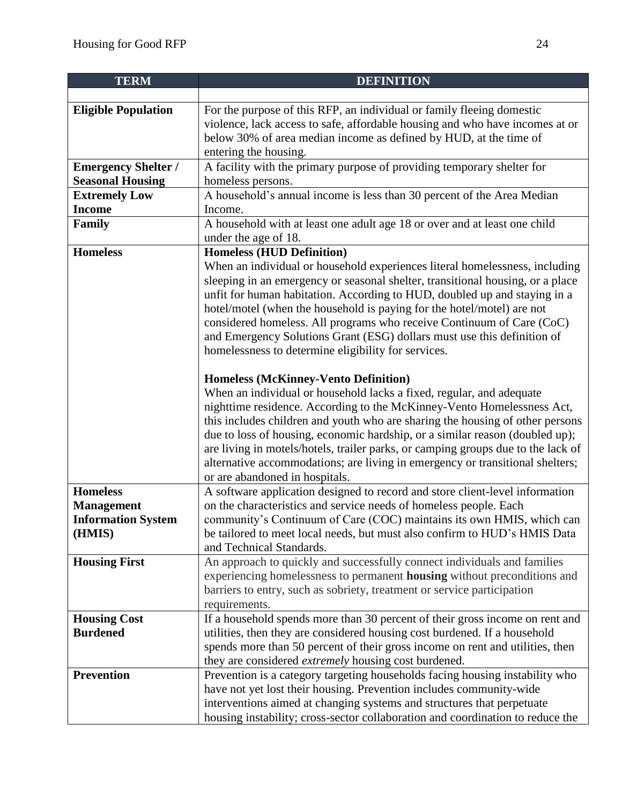| <b>TERM</b>                | <b>DEFINITION</b>                                                                                                                                                                                                                                                                                                                                                                                                                                                                                                                                                     |
|----------------------------|-----------------------------------------------------------------------------------------------------------------------------------------------------------------------------------------------------------------------------------------------------------------------------------------------------------------------------------------------------------------------------------------------------------------------------------------------------------------------------------------------------------------------------------------------------------------------|
|                            |                                                                                                                                                                                                                                                                                                                                                                                                                                                                                                                                                                       |
| <b>Eligible Population</b> | For the purpose of this RFP, an individual or family fleeing domestic                                                                                                                                                                                                                                                                                                                                                                                                                                                                                                 |
|                            | violence, lack access to safe, affordable housing and who have incomes at or                                                                                                                                                                                                                                                                                                                                                                                                                                                                                          |
|                            | below 30% of area median income as defined by HUD, at the time of                                                                                                                                                                                                                                                                                                                                                                                                                                                                                                     |
|                            | entering the housing.                                                                                                                                                                                                                                                                                                                                                                                                                                                                                                                                                 |
| <b>Emergency Shelter /</b> | A facility with the primary purpose of providing temporary shelter for                                                                                                                                                                                                                                                                                                                                                                                                                                                                                                |
| <b>Seasonal Housing</b>    | homeless persons.                                                                                                                                                                                                                                                                                                                                                                                                                                                                                                                                                     |
| <b>Extremely Low</b>       | A household's annual income is less than 30 percent of the Area Median                                                                                                                                                                                                                                                                                                                                                                                                                                                                                                |
| <b>Income</b>              | Income.                                                                                                                                                                                                                                                                                                                                                                                                                                                                                                                                                               |
| Family                     | A household with at least one adult age 18 or over and at least one child                                                                                                                                                                                                                                                                                                                                                                                                                                                                                             |
|                            | under the age of 18.                                                                                                                                                                                                                                                                                                                                                                                                                                                                                                                                                  |
| <b>Homeless</b>            | <b>Homeless (HUD Definition)</b>                                                                                                                                                                                                                                                                                                                                                                                                                                                                                                                                      |
|                            | When an individual or household experiences literal homelessness, including<br>sleeping in an emergency or seasonal shelter, transitional housing, or a place<br>unfit for human habitation. According to HUD, doubled up and staying in a<br>hotel/motel (when the household is paying for the hotel/motel) are not<br>considered homeless. All programs who receive Continuum of Care (CoC)<br>and Emergency Solutions Grant (ESG) dollars must use this definition of<br>homelessness to determine eligibility for services.                                       |
|                            | <b>Homeless (McKinney-Vento Definition)</b><br>When an individual or household lacks a fixed, regular, and adequate<br>nighttime residence. According to the McKinney-Vento Homelessness Act,<br>this includes children and youth who are sharing the housing of other persons<br>due to loss of housing, economic hardship, or a similar reason (doubled up);<br>are living in motels/hotels, trailer parks, or camping groups due to the lack of<br>alternative accommodations; are living in emergency or transitional shelters;<br>or are abandoned in hospitals. |
| <b>Homeless</b>            | A software application designed to record and store client-level information                                                                                                                                                                                                                                                                                                                                                                                                                                                                                          |
| <b>Management</b>          | on the characteristics and service needs of homeless people. Each                                                                                                                                                                                                                                                                                                                                                                                                                                                                                                     |
| <b>Information System</b>  | community's Continuum of Care (COC) maintains its own HMIS, which can                                                                                                                                                                                                                                                                                                                                                                                                                                                                                                 |
| (HMIS)                     | be tailored to meet local needs, but must also confirm to HUD's HMIS Data                                                                                                                                                                                                                                                                                                                                                                                                                                                                                             |
|                            | and Technical Standards.                                                                                                                                                                                                                                                                                                                                                                                                                                                                                                                                              |
| <b>Housing First</b>       | An approach to quickly and successfully connect individuals and families<br>experiencing homelessness to permanent <b>housing</b> without preconditions and<br>barriers to entry, such as sobriety, treatment or service participation                                                                                                                                                                                                                                                                                                                                |
|                            | requirements.                                                                                                                                                                                                                                                                                                                                                                                                                                                                                                                                                         |
| <b>Housing Cost</b>        | If a household spends more than 30 percent of their gross income on rent and                                                                                                                                                                                                                                                                                                                                                                                                                                                                                          |
| <b>Burdened</b>            | utilities, then they are considered housing cost burdened. If a household                                                                                                                                                                                                                                                                                                                                                                                                                                                                                             |
|                            | spends more than 50 percent of their gross income on rent and utilities, then                                                                                                                                                                                                                                                                                                                                                                                                                                                                                         |
| <b>Prevention</b>          | they are considered extremely housing cost burdened.<br>Prevention is a category targeting households facing housing instability who                                                                                                                                                                                                                                                                                                                                                                                                                                  |
|                            | have not yet lost their housing. Prevention includes community-wide                                                                                                                                                                                                                                                                                                                                                                                                                                                                                                   |
|                            | interventions aimed at changing systems and structures that perpetuate                                                                                                                                                                                                                                                                                                                                                                                                                                                                                                |
|                            | housing instability; cross-sector collaboration and coordination to reduce the                                                                                                                                                                                                                                                                                                                                                                                                                                                                                        |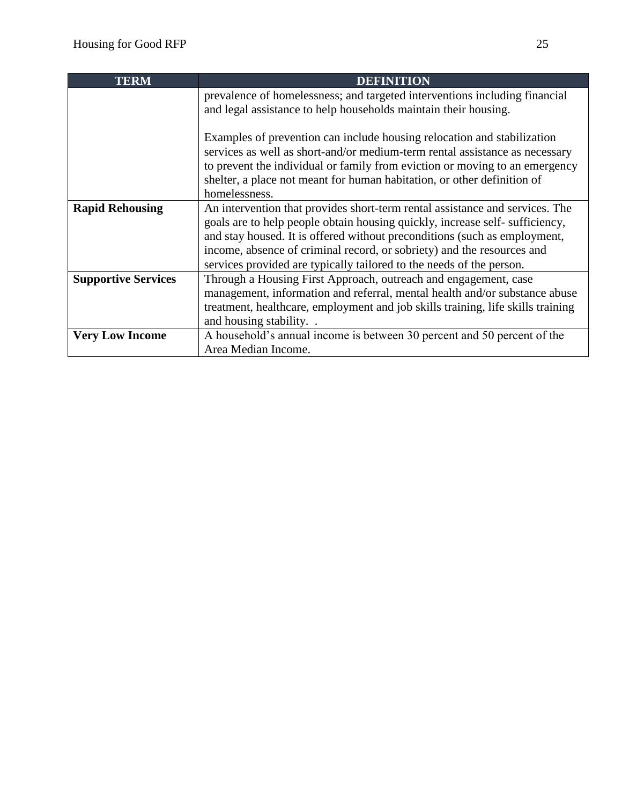| <b>TERM</b>                | <b>DEFINITION</b>                                                                                                                                                                                                                                                                                                                                                                          |
|----------------------------|--------------------------------------------------------------------------------------------------------------------------------------------------------------------------------------------------------------------------------------------------------------------------------------------------------------------------------------------------------------------------------------------|
|                            | prevalence of homelessness; and targeted interventions including financial<br>and legal assistance to help households maintain their housing.                                                                                                                                                                                                                                              |
|                            | Examples of prevention can include housing relocation and stabilization<br>services as well as short-and/or medium-term rental assistance as necessary<br>to prevent the individual or family from eviction or moving to an emergency<br>shelter, a place not meant for human habitation, or other definition of<br>homelessness.                                                          |
| <b>Rapid Rehousing</b>     | An intervention that provides short-term rental assistance and services. The<br>goals are to help people obtain housing quickly, increase self-sufficiency,<br>and stay housed. It is offered without preconditions (such as employment,<br>income, absence of criminal record, or sobriety) and the resources and<br>services provided are typically tailored to the needs of the person. |
| <b>Supportive Services</b> | Through a Housing First Approach, outreach and engagement, case<br>management, information and referral, mental health and/or substance abuse<br>treatment, healthcare, employment and job skills training, life skills training<br>and housing stability                                                                                                                                  |
| <b>Very Low Income</b>     | A household's annual income is between 30 percent and 50 percent of the<br>Area Median Income.                                                                                                                                                                                                                                                                                             |